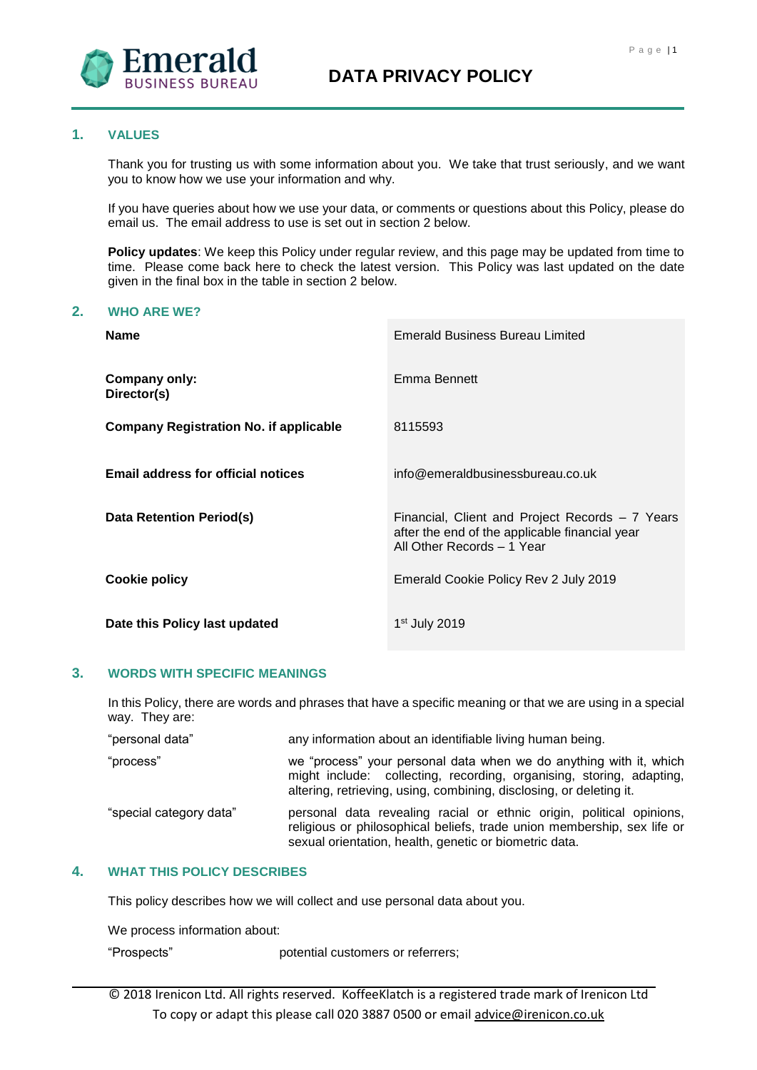

# **1. VALUES**

Thank you for trusting us with some information about you. We take that trust seriously, and we want you to know how we use your information and why.

If you have queries about how we use your data, or comments or questions about this Policy, please do email us. The email address to use is set out in section 2 below.

**Policy updates**: We keep this Policy under regular review, and this page may be updated from time to time. Please come back here to check the latest version. This Policy was last updated on the date given in the final box in the table in section 2 below.

#### **2. WHO ARE WE?**

| <b>Name</b>                                   | <b>Emerald Business Bureau Limited</b>                                                                                          |
|-----------------------------------------------|---------------------------------------------------------------------------------------------------------------------------------|
| <b>Company only:</b><br>Director(s)           | Emma Bennett                                                                                                                    |
| <b>Company Registration No. if applicable</b> | 8115593                                                                                                                         |
| <b>Email address for official notices</b>     | info@emeraldbusinessbureau.co.uk                                                                                                |
| Data Retention Period(s)                      | Financial, Client and Project Records – 7 Years<br>after the end of the applicable financial year<br>All Other Records - 1 Year |
| Cookie policy                                 | Emerald Cookie Policy Rev 2 July 2019                                                                                           |
| Date this Policy last updated                 | $1st$ July 2019                                                                                                                 |

## **3. WORDS WITH SPECIFIC MEANINGS**

In this Policy, there are words and phrases that have a specific meaning or that we are using in a special way. They are:

| "personal data"         | any information about an identifiable living human being.                                                                                                                                                         |
|-------------------------|-------------------------------------------------------------------------------------------------------------------------------------------------------------------------------------------------------------------|
| "process"               | we "process" your personal data when we do anything with it, which<br>might include: collecting, recording, organising, storing, adapting,<br>altering, retrieving, using, combining, disclosing, or deleting it. |
| "special category data" | personal data revealing racial or ethnic origin, political opinions,<br>religious or philosophical beliefs, trade union membership, sex life or<br>sexual orientation, health, genetic or biometric data.         |

# **4. WHAT THIS POLICY DESCRIBES**

This policy describes how we will collect and use personal data about you.

We process information about:

"Prospects" potential customers or referrers;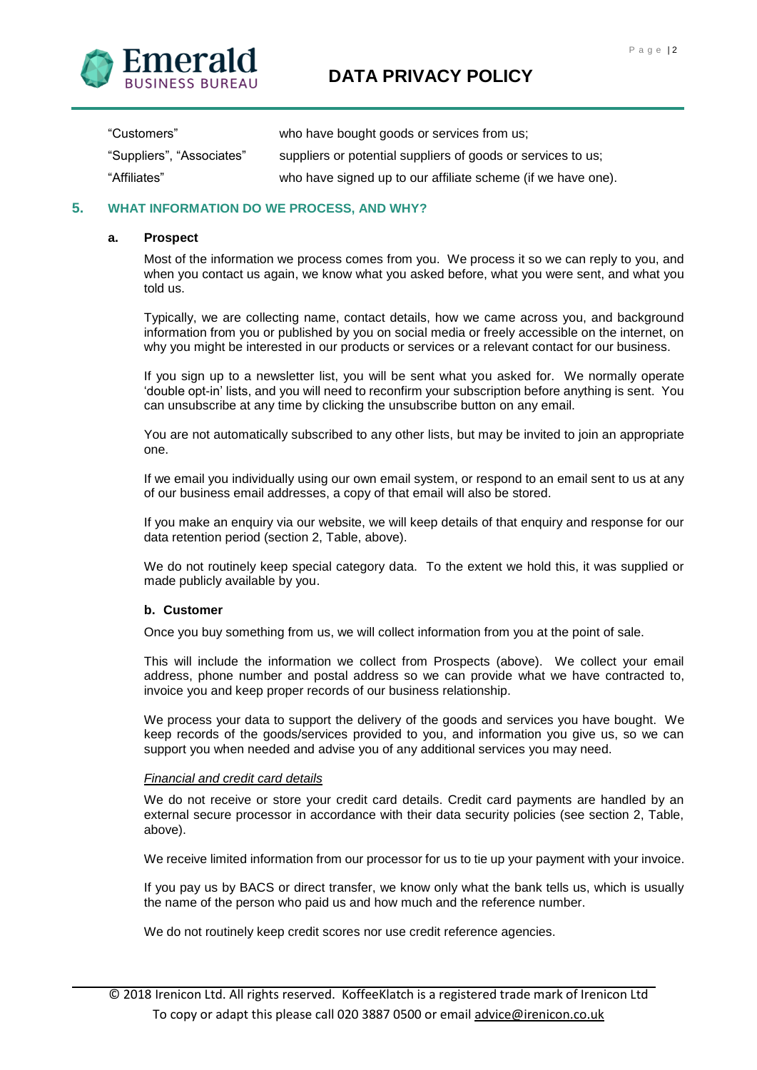



| "Customers"               | who have bought goods or services from us;                   |
|---------------------------|--------------------------------------------------------------|
| "Suppliers", "Associates" | suppliers or potential suppliers of goods or services to us; |
| "Affiliates"              | who have signed up to our affiliate scheme (if we have one). |

# **5. WHAT INFORMATION DO WE PROCESS, AND WHY?**

#### **a. Prospect**

Most of the information we process comes from you. We process it so we can reply to you, and when you contact us again, we know what you asked before, what you were sent, and what you told us.

Typically, we are collecting name, contact details, how we came across you, and background information from you or published by you on social media or freely accessible on the internet, on why you might be interested in our products or services or a relevant contact for our business.

If you sign up to a newsletter list, you will be sent what you asked for. We normally operate 'double opt-in' lists, and you will need to reconfirm your subscription before anything is sent. You can unsubscribe at any time by clicking the unsubscribe button on any email.

You are not automatically subscribed to any other lists, but may be invited to join an appropriate one.

If we email you individually using our own email system, or respond to an email sent to us at any of our business email addresses, a copy of that email will also be stored.

If you make an enquiry via our website, we will keep details of that enquiry and response for our data retention period (section 2, Table, above).

We do not routinely keep special category data. To the extent we hold this, it was supplied or made publicly available by you.

## **b. Customer**

Once you buy something from us, we will collect information from you at the point of sale.

This will include the information we collect from Prospects (above). We collect your email address, phone number and postal address so we can provide what we have contracted to, invoice you and keep proper records of our business relationship.

We process your data to support the delivery of the goods and services you have bought. We keep records of the goods/services provided to you, and information you give us, so we can support you when needed and advise you of any additional services you may need.

## *Financial and credit card details*

We do not receive or store your credit card details. Credit card payments are handled by an external secure processor in accordance with their data security policies (see section 2, Table, above).

We receive limited information from our processor for us to tie up your payment with your invoice.

If you pay us by BACS or direct transfer, we know only what the bank tells us, which is usually the name of the person who paid us and how much and the reference number.

We do not routinely keep credit scores nor use credit reference agencies.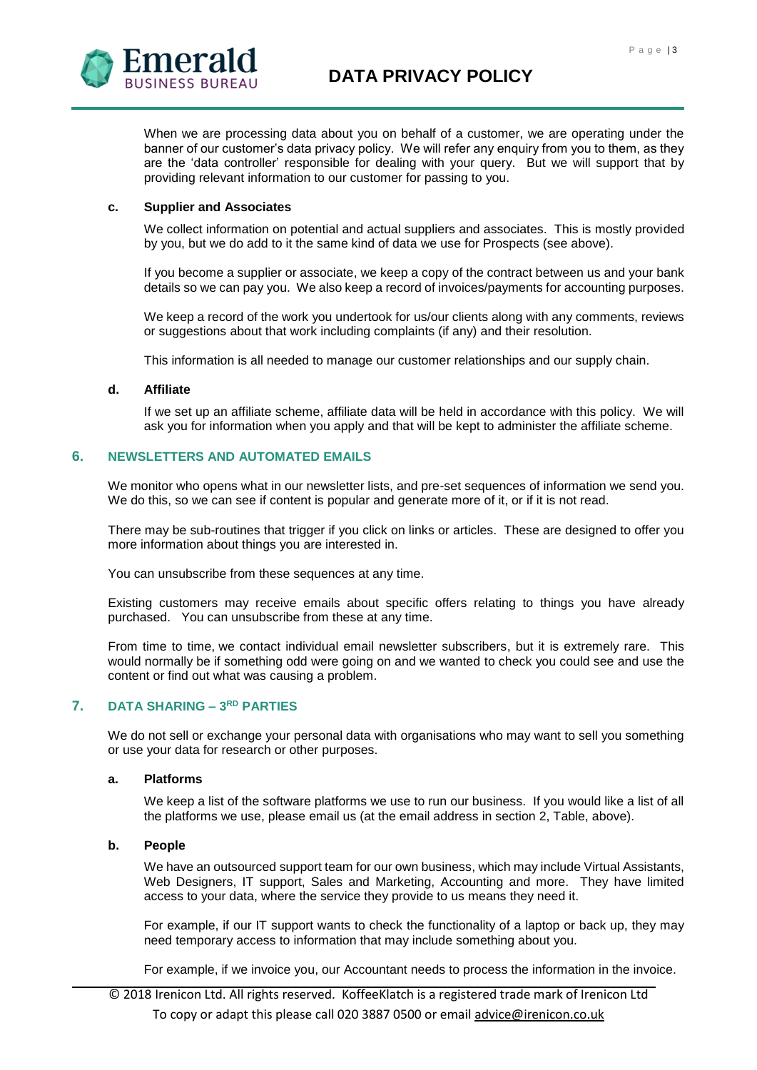

When we are processing data about you on behalf of a customer, we are operating under the banner of our customer's data privacy policy. We will refer any enquiry from you to them, as they are the 'data controller' responsible for dealing with your query. But we will support that by providing relevant information to our customer for passing to you.

## **c. Supplier and Associates**

We collect information on potential and actual suppliers and associates. This is mostly provided by you, but we do add to it the same kind of data we use for Prospects (see above).

If you become a supplier or associate, we keep a copy of the contract between us and your bank details so we can pay you. We also keep a record of invoices/payments for accounting purposes.

We keep a record of the work you undertook for us/our clients along with any comments, reviews or suggestions about that work including complaints (if any) and their resolution.

This information is all needed to manage our customer relationships and our supply chain.

## **d. Affiliate**

If we set up an affiliate scheme, affiliate data will be held in accordance with this policy. We will ask you for information when you apply and that will be kept to administer the affiliate scheme.

## **6. NEWSLETTERS AND AUTOMATED EMAILS**

We monitor who opens what in our newsletter lists, and pre-set sequences of information we send you. We do this, so we can see if content is popular and generate more of it, or if it is not read.

There may be sub-routines that trigger if you click on links or articles. These are designed to offer you more information about things you are interested in.

You can unsubscribe from these sequences at any time.

Existing customers may receive emails about specific offers relating to things you have already purchased. You can unsubscribe from these at any time.

From time to time, we contact individual email newsletter subscribers, but it is extremely rare. This would normally be if something odd were going on and we wanted to check you could see and use the content or find out what was causing a problem.

# **7. DATA SHARING – 3 RD PARTIES**

We do not sell or exchange your personal data with organisations who may want to sell you something or use your data for research or other purposes.

## **a. Platforms**

We keep a list of the software platforms we use to run our business. If you would like a list of all the platforms we use, please email us (at the email address in section 2, Table, above).

## **b. People**

We have an outsourced support team for our own business, which may include Virtual Assistants, Web Designers, IT support, Sales and Marketing, Accounting and more. They have limited access to your data, where the service they provide to us means they need it.

For example, if our IT support wants to check the functionality of a laptop or back up, they may need temporary access to information that may include something about you.

For example, if we invoice you, our Accountant needs to process the information in the invoice.